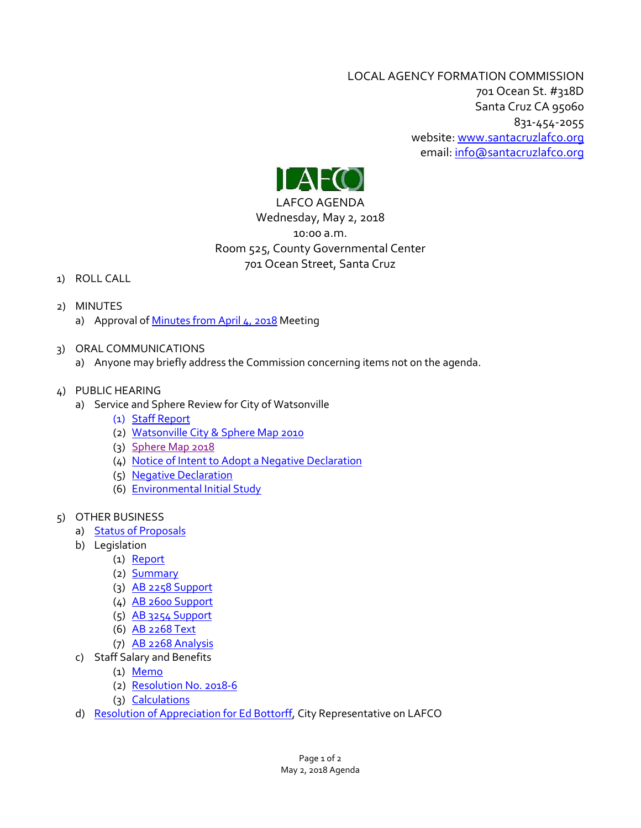LOCAL AGENCY FORMATION COMMISSION 701 Ocean St. #318D Santa Cruz CA 95060 831-454-2055 website: [www.santacruzlafco.org](http://www.santacruzlafco.org/) email[: info@santacruzlafco.org](mailto:info@santacruzlafco.org)



# Wednesday, May 2, 2018 10:00 a.m. Room 525, County Governmental Center 701 Ocean Street, Santa Cruz

## 1) ROLL CALL

- 2) MINUTES
	- a) Approval of [Minutes from April 4, 2018](http://www.santacruzlafco.org/wp-content/uploads/2018/04/2a-4-4-18-Minutes.pdf) Meeting
- 3) ORAL COMMUNICATIONS
	- a) Anyone may briefly address the Commission concerning items not on the agenda.
- 4) PUBLIC HEARING
	- a) Service and Sphere Review for City of Watsonville
		- (1) [Staff Report](http://www.santacruzlafco.org/wp-content/uploads/2018/04/4a1-Staff-Memo-Watsonville-Review.pdf)
		- (2) [Watsonville City & Sphere Map 2010](http://www.santacruzlafco.org/wp-content/uploads/2018/04/4a2-City-of-Watsonville-sphere-map-2010.pdf)
		- (3) [Sphere Map 2018](http://www.santacruzlafco.org/wp-content/uploads/2018/04/4a3-Wats-sphere-areas-map-2018.pdf)
		- (4) [Notice of Intent to Adopt a Negative Declaration](http://www.santacruzlafco.org/wp-content/uploads/2018/04/4a4-Notice-of-Neg-Del-Wats.-Sphere-Review-2018.pdf)
		- (5) [Negative Declaration](http://www.santacruzlafco.org/wp-content/uploads/2018/04/4a5-Negative-Declaration-Watsonville-Sphere-of-Influence-2018.pdf)
		- (6) [Environmental Initial Study](http://www.santacruzlafco.org/wp-content/uploads/2018/04/4a6-2018-Watsonville-Sphere-CEQA-Documents.pdf)
- 5) OTHER BUSINESS
	- a) [Status of Proposals](http://www.santacruzlafco.org/wp-content/uploads/2018/04/5a1-Status-April-24.pdf)
	- b) Legislation
		- (1) [Report](http://www.santacruzlafco.org/wp-content/uploads/2018/04/5b1-Legislative-Report-for-May-2.pdf)
		- (2) [Summary](http://www.santacruzlafco.org/wp-content/uploads/2018/04/5b2-Legislation-Summary.pdf)
		- (3) [AB 2258](http://www.santacruzlafco.org/wp-content/uploads/2018/04/5b3-AB-2258-Support.pdf) Support
		- (4) [AB 2600](http://www.santacruzlafco.org/wp-content/uploads/2018/04/5b4-AB-2600-Support.pdf) Support
		- (5) [AB 3254 Support](http://www.santacruzlafco.org/wp-content/uploads/2018/04/5b5-AB-3254-Support.pdf)
		- (6) [AB 2268 Text](http://www.santacruzlafco.org/wp-content/uploads/2018/04/5b6-AB-2268-Text.pdf)
		- (7) [AB 2268 Analysis](http://www.santacruzlafco.org/wp-content/uploads/2018/04/5b7-AB-2268-Analysis.pdf)
	- c) Staff Salary and Benefits
		- $(1)$  [Memo](http://www.santacruzlafco.org/wp-content/uploads/2018/04/5c1-Salaries-2018.pdf)
		- (2) [Resolution No. 2018-6](http://www.santacruzlafco.org/wp-content/uploads/2018/04/5c2-Personnel-2018-6.pdf)
		- (3) [Calculations](http://www.santacruzlafco.org/wp-content/uploads/2018/04/5c3-Calculations-of-Salary-Adjustments-2018.pdf)
	- d) [Resolution of Appreciation for Ed Bottorff,](http://www.santacruzlafco.org/wp-content/uploads/2018/04/5d-2018-7-Bottorff-Appreciation.pdf) City Representative on LAFCO